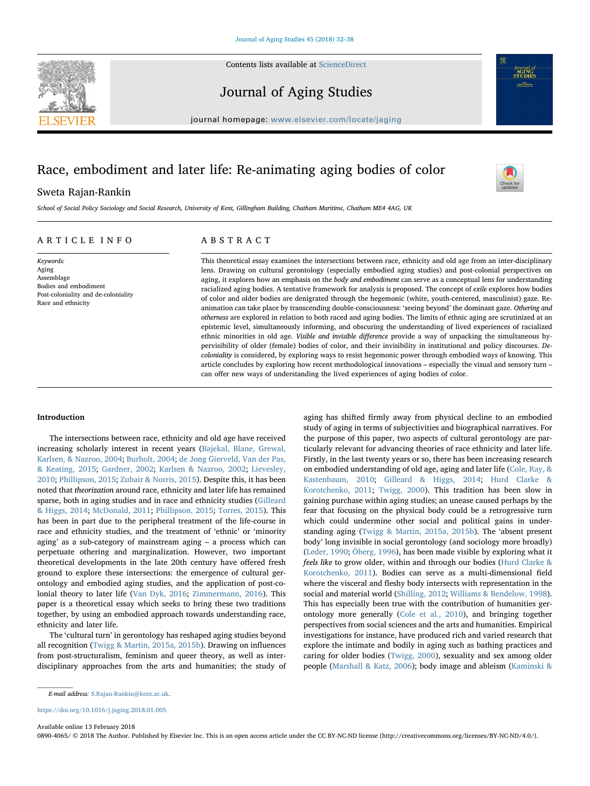**SEVIER** 



Check for<br>updates

*-journal of*<br>**AGING**<br>STUDIES **SANCHE P. CURRENTS** 

# Journal of Aging Studies

journal homepage: [www.elsevier.com/locate/jaging](https://www.elsevier.com/locate/jaging)

# Race, embodiment and later life: Re-animating aging bodies of color

## Sweta Rajan-Rankin

School of Social Policy Sociology and Social Research, University of Kent, Gillingham Building, Chatham Maritime, Chatham ME4 4AG, UK

### ARTICLE INFO

Keywords: Aging Assemblage Bodies and embodiment Post-coloniality and de-coloniality Race and ethnicity

## ABSTRACT

This theoretical essay examines the intersections between race, ethnicity and old age from an inter-disciplinary lens. Drawing on cultural gerontology (especially embodied aging studies) and post-colonial perspectives on aging, it explores how an emphasis on the body and embodiment can serve as a conceptual lens for understanding racialized aging bodies. A tentative framework for analysis is proposed. The concept of exile explores how bodies of color and older bodies are denigrated through the hegemonic (white, youth-centered, masculinist) gaze. Reanimation can take place by transcending double-consciousness: 'seeing beyond' the dominant gaze. Othering and otherness are explored in relation to both raced and aging bodies. The limits of ethnic aging are scrutinized at an epistemic level, simultaneously informing, and obscuring the understanding of lived experiences of racialized ethnic minorities in old age. Visible and invisible difference provide a way of unpacking the simultaneous hypervisibility of older (female) bodies of color, and their invisibility in institutional and policy discourses. Decoloniality is considered, by exploring ways to resist hegemonic power through embodied ways of knowing. This article concludes by exploring how recent methodological innovations – especially the visual and sensory turn – can offer new ways of understanding the lived experiences of aging bodies of color.

#### Introduction

The intersections between race, ethnicity and old age have received increasing scholarly interest in recent years [\(Bajekal, Blane, Grewal,](#page-6-0) [Karlsen, & Nazroo, 2004](#page-6-0); [Burholt, 2004;](#page-6-1) [de Jong Gierveld, Van der Pas,](#page-6-2) [& Keating, 2015](#page-6-2); [Gardner, 2002](#page-6-3); [Karlsen & Nazroo, 2002](#page-6-4); [Lievesley,](#page-6-5) [2010;](#page-6-5) [Phillipson, 2015](#page-6-6); [Zubair & Norris, 2015](#page-6-7)). Despite this, it has been noted that theorization around race, ethnicity and later life has remained sparse, both in aging studies and in race and ethnicity studies [\(Gilleard](#page-6-8) [& Higgs, 2014;](#page-6-8) [McDonald, 2011;](#page-6-9) [Phillipson, 2015;](#page-6-6) [Torres, 2015\)](#page-6-10). This has been in part due to the peripheral treatment of the life-course in race and ethnicity studies, and the treatment of 'ethnic' or 'minority aging' as a sub-category of mainstream aging – a process which can perpetuate othering and marginalization. However, two important theoretical developments in the late 20th century have offered fresh ground to explore these intersections: the emergence of cultural gerontology and embodied aging studies, and the application of post-colonial theory to later life [\(Van Dyk, 2016;](#page-6-11) [Zimmermann, 2016](#page-6-12)). This paper is a theoretical essay which seeks to bring these two traditions together, by using an embodied approach towards understanding race, ethnicity and later life.

The 'cultural turn' in gerontology has reshaped aging studies beyond all recognition ([Twigg & Martin, 2015a, 2015b](#page-6-13)). Drawing on influences from post-structuralism, feminism and queer theory, as well as interdisciplinary approaches from the arts and humanities; the study of aging has shifted firmly away from physical decline to an embodied study of aging in terms of subjectivities and biographical narratives. For the purpose of this paper, two aspects of cultural gerontology are particularly relevant for advancing theories of race ethnicity and later life. Firstly, in the last twenty years or so, there has been increasing research on embodied understanding of old age, aging and later life ([Cole, Ray, &](#page-6-14) [Kastenbaum, 2010;](#page-6-14) [Gilleard & Higgs, 2014](#page-6-8); [Hurd Clarke &](#page-6-15) [Korotchenko, 2011](#page-6-15); [Twigg, 2000\)](#page-6-16). This tradition has been slow in gaining purchase within aging studies; an unease caused perhaps by the fear that focusing on the physical body could be a retrogressive turn which could undermine other social and political gains in understanding aging ([Twigg & Martin, 2015a, 2015b\)](#page-6-13). The 'absent present body' long invisible in social gerontology (and sociology more broadly) ([Leder,](#page-6-17) 1990; [Öberg, 1996\)](#page-6-18), has been made visible by exploring what it feels like to grow older, within and through our bodies [\(Hurd Clarke &](#page-6-15) [Korotchenko, 2011](#page-6-15)). Bodies can serve as a multi-dimensional field where the visceral and fleshy body intersects with representation in the social and material world [\(Shilling, 2012](#page-6-19); [Williams & Bendelow, 1998](#page-6-20)). This has especially been true with the contribution of humanities gerontology more generally ([Cole et al., 2010\)](#page-6-14), and bringing together perspectives from social sciences and the arts and humanities. Empirical investigations for instance, have produced rich and varied research that explore the intimate and bodily in aging such as bathing practices and caring for older bodies ([Twigg, 2000\)](#page-6-16), sexuality and sex among older people ([Marshall & Katz, 2006\)](#page-6-21); body image and ableism ([Kaminski &](#page-6-22)

<https://doi.org/10.1016/j.jaging.2018.01.005>

Available online 13 February 2018

0890-4065/ © 2018 The Author. Published by Elsevier Inc. This is an open access article under the CC BY-NC-ND license (http://creativecommons.org/licenses/BY-NC-ND/4.0/).

E-mail address: [S.Rajan-Rankin@kent.ac.uk](mailto:S.Rajan-Rankin@kent.ac.uk).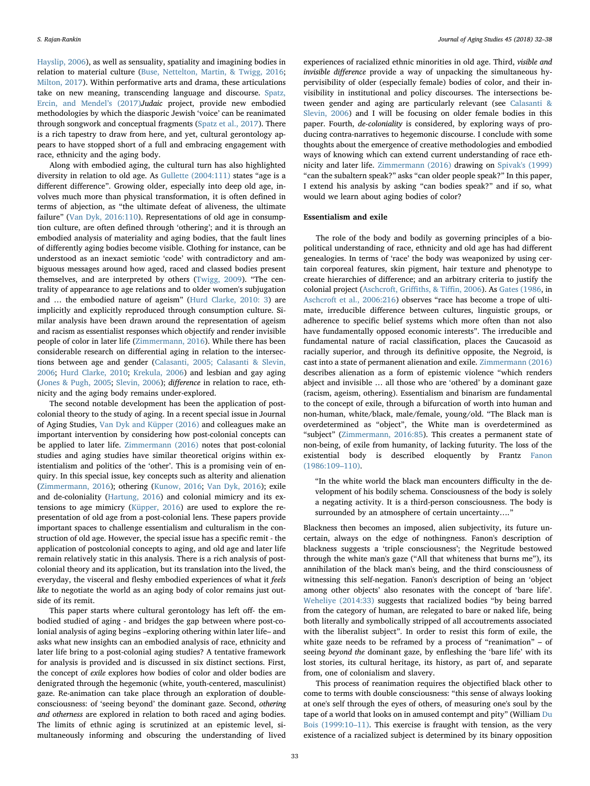[Hayslip, 2006\)](#page-6-22), as well as sensuality, spatiality and imagining bodies in relation to material culture ([Buse, Nettelton, Martin, & Twigg, 2016](#page-6-23); [Milton, 2017\)](#page-6-24). Within performative arts and drama, these articulations take on new meaning, transcending language and discourse. [Spatz,](#page-6-25) [Ercin, and Mendel](#page-6-25)'s (2017)Judaic project, provide new embodied methodologies by which the diasporic Jewish 'voice' can be reanimated through songwork and conceptual fragments ([Spatz et al., 2017](#page-6-25)). There is a rich tapestry to draw from here, and yet, cultural gerontology appears to have stopped short of a full and embracing engagement with race, ethnicity and the aging body.

Along with embodied aging, the cultural turn has also highlighted diversity in relation to old age. As [Gullette \(2004:111\)](#page-6-26) states "age is a different difference". Growing older, especially into deep old age, involves much more than physical transformation, it is often defined in terms of abjection, as "the ultimate defeat of aliveness, the ultimate failure" ([Van Dyk, 2016:110](#page-6-11)). Representations of old age in consumption culture, are often defined through 'othering'; and it is through an embodied analysis of materiality and aging bodies, that the fault lines of differently aging bodies become visible. Clothing for instance, can be understood as an inexact semiotic 'code' with contradictory and ambiguous messages around how aged, raced and classed bodies present themselves, and are interpreted by others [\(Twigg, 2009](#page-6-27)). "The centrality of appearance to age relations and to older women's subjugation and … the embodied nature of ageism" ([Hurd Clarke, 2010: 3\)](#page-6-28) are implicitly and explicitly reproduced through consumption culture. Similar analysis have been drawn around the representation of ageism and racism as essentialist responses which objectify and render invisible people of color in later life ([Zimmermann, 2016\)](#page-6-12). While there has been considerable research on differential aging in relation to the intersections between age and gender [\(Calasanti, 2005; Calasanti & Slevin,](#page-6-29) [2006;](#page-6-29) [Hurd Clarke, 2010](#page-6-28); [Krekula, 2006\)](#page-6-30) and lesbian and gay aging ([Jones & Pugh, 2005](#page-6-31); [Slevin, 2006](#page-6-32)); difference in relation to race, ethnicity and the aging body remains under-explored.

The second notable development has been the application of postcolonial theory to the study of aging. In a recent special issue in Journal of Aging Studies, [Van Dyk and Küpper \(2016\)](#page-6-33) and colleagues make an important intervention by considering how post-colonial concepts can be applied to later life. [Zimmermann \(2016\)](#page-6-12) notes that post-colonial studies and aging studies have similar theoretical origins within existentialism and politics of the 'other'. This is a promising vein of enquiry. In this special issue, key concepts such as alterity and alienation ([Zimmermann, 2016](#page-6-12)); othering ([Kunow, 2016;](#page-6-34) [Van Dyk, 2016\)](#page-6-11); exile and de-coloniality [\(Hartung, 2016\)](#page-6-35) and colonial mimicry and its extensions to age mimicry ([Küpper, 2016](#page-6-36)) are used to explore the representation of old age from a post-colonial lens. These papers provide important spaces to challenge essentialism and culturalism in the construction of old age. However, the special issue has a specific remit - the application of postcolonial concepts to aging, and old age and later life remain relatively static in this analysis. There is a rich analysis of postcolonial theory and its application, but its translation into the lived, the everyday, the visceral and fleshy embodied experiences of what it feels like to negotiate the world as an aging body of color remains just outside of its remit.

This paper starts where cultural gerontology has left off- the embodied studied of aging - and bridges the gap between where post-colonial analysis of aging begins –exploring othering within later life– and asks what new insights can an embodied analysis of race, ethnicity and later life bring to a post-colonial aging studies? A tentative framework for analysis is provided and is discussed in six distinct sections. First, the concept of exile explores how bodies of color and older bodies are denigrated through the hegemonic (white, youth-centered, masculinist) gaze. Re-animation can take place through an exploration of doubleconsciousness: of 'seeing beyond' the dominant gaze. Second, othering and otherness are explored in relation to both raced and aging bodies. The limits of ethnic aging is scrutinized at an epistemic level, simultaneously informing and obscuring the understanding of lived

experiences of racialized ethnic minorities in old age. Third, visible and invisible difference provide a way of unpacking the simultaneous hypervisibility of older (especially female) bodies of color, and their invisibility in institutional and policy discourses. The intersections between gender and aging are particularly relevant (see [Calasanti &](#page-6-37) [Slevin, 2006](#page-6-37)) and I will be focusing on older female bodies in this paper. Fourth, de-coloniality is considered, by exploring ways of producing contra-narratives to hegemonic discourse. I conclude with some thoughts about the emergence of creative methodologies and embodied ways of knowing which can extend current understanding of race ethnicity and later life. [Zimmermann \(2016\)](#page-6-12) drawing on [Spivak's \(1999\)](#page-6-38) "can the subaltern speak?" asks "can older people speak?" In this paper, I extend his analysis by asking "can bodies speak?" and if so, what would we learn about aging bodies of color?

#### Essentialism and exile

The role of the body and bodily as governing principles of a biopolitical understanding of race, ethnicity and old age has had different genealogies. In terms of 'race' the body was weaponized by using certain corporeal features, skin pigment, hair texture and phenotype to create hierarchies of difference; and an arbitrary criteria to justify the colonial project [\(Aschcroft, Gri](#page-6-39)ffiths, & Tiffin, 2006). As [Gates \(1986](#page-6-40), in [Aschcroft et al., 2006:216\)](#page-6-39) observes "race has become a trope of ultimate, irreducible difference between cultures, linguistic groups, or adherence to specific belief systems which more often than not also have fundamentally opposed economic interests". The irreducible and fundamental nature of racial classification, places the Caucasoid as racially superior, and through its definitive opposite, the Negroid, is cast into a state of permanent alienation and exile. [Zimmermann \(2016\)](#page-6-12) describes alienation as a form of epistemic violence "which renders abject and invisible … all those who are 'othered' by a dominant gaze (racism, ageism, othering). Essentialism and binarism are fundamental to the concept of exile, through a bifurcation of worth into human and non-human, white/black, male/female, young/old. "The Black man is overdetermined as "object", the White man is overdetermined as "subject" ([Zimmermann, 2016:85](#page-6-12)). This creates a permanent state of non-being, of exile from humanity, of lacking futurity. The loss of the existential body is described eloquently by Frantz [Fanon](#page-6-41) [\(1986:109](#page-6-41)–110).

"In the white world the black man encounters difficulty in the development of his bodily schema. Consciousness of the body is solely a negating activity. It is a third-person consciousness. The body is surrounded by an atmosphere of certain uncertainty…."

Blackness then becomes an imposed, alien subjectivity, its future uncertain, always on the edge of nothingness. Fanon's description of blackness suggests a 'triple consciousness'; the Negritude bestowed through the white man's gaze ("All that whiteness that burns me"), its annihilation of the black man's being, and the third consciousness of witnessing this self-negation. Fanon's description of being an 'object among other objects' also resonates with the concept of 'bare life'. [Weheliye \(2014:33\)](#page-6-42) suggests that racialized bodies "by being barred from the category of human, are relegated to bare or naked life, being both literally and symbolically stripped of all accoutrements associated with the liberalist subject". In order to resist this form of exile, the white gaze needs to be reframed by a process of "reanimation" – of seeing beyond the dominant gaze, by enfleshing the 'bare life' with its lost stories, its cultural heritage, its history, as part of, and separate from, one of colonialism and slavery.

This process of reanimation requires the objectified black other to come to terms with double consciousness: "this sense of always looking at one's self through the eyes of others, of measuring one's soul by the tape of a world that looks on in amused contempt and pity" (William [Du](#page-6-43) [Bois \(1999:10](#page-6-43)–11). This exercise is fraught with tension, as the very existence of a racialized subject is determined by its binary opposition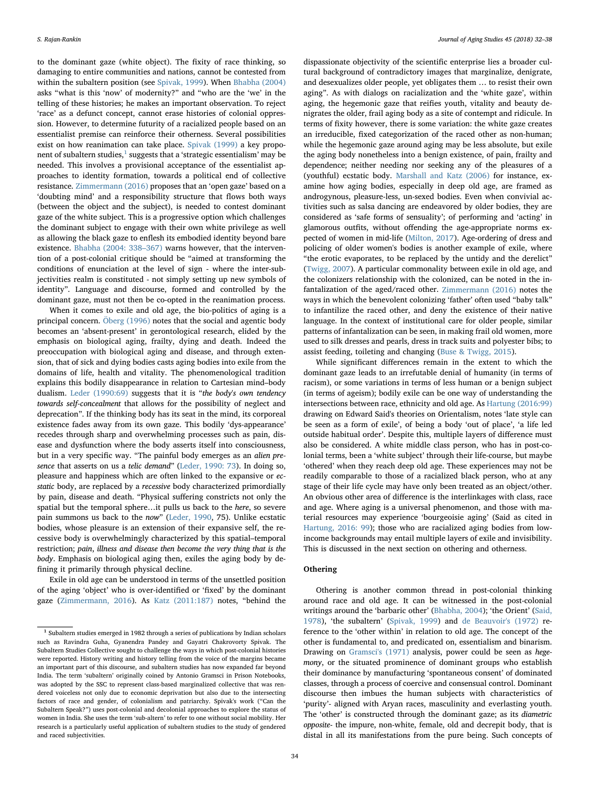to the dominant gaze (white object). The fixity of race thinking, so damaging to entire communities and nations, cannot be contested from within the subaltern position (see [Spivak, 1999](#page-6-38)). When [Bhabha \(2004\)](#page-6-44) asks "what is this 'now' of modernity?" and "who are the 'we' in the telling of these histories; he makes an important observation. To reject 'race' as a defunct concept, cannot erase histories of colonial oppression. However, to determine futurity of a racialized people based on an essentialist premise can reinforce their otherness. Several possibilities exist on how reanimation can take place. [Spivak \(1999\)](#page-6-38) a key proponent of subaltern studies, $\frac{1}{1}$  $\frac{1}{1}$  $\frac{1}{1}$  suggests that a 'strategic essentialism' may be needed. This involves a provisional acceptance of the essentialist approaches to identity formation, towards a political end of collective resistance. [Zimmermann \(2016\)](#page-6-12) proposes that an 'open gaze' based on a 'doubting mind' and a responsibility structure that flows both ways (between the object and the subject), is needed to contest dominant gaze of the white subject. This is a progressive option which challenges the dominant subject to engage with their own white privilege as well as allowing the black gaze to enflesh its embodied identity beyond bare existence. [Bhabha \(2004: 338](#page-6-44)–367) warns however, that the intervention of a post-colonial critique should be "aimed at transforming the conditions of enunciation at the level of sign - where the inter-subjectivities realm is constituted - not simply setting up new symbols of identity". Language and discourse, formed and controlled by the dominant gaze, must not then be co-opted in the reanimation process.

When it comes to exile and old age, the bio-politics of aging is a principal concern. [Öberg \(1996\)](#page-6-18) notes that the social and agentic body becomes an 'absent-present' in gerontological research, elided by the emphasis on biological aging, frailty, dying and death. Indeed the preoccupation with biological aging and disease, and through extension, that of sick and dying bodies casts aging bodies into exile from the domains of life, health and vitality. The phenomenological tradition explains this bodily disappearance in relation to Cartesian mind–body dualism. [Leder \(1990:69\)](#page-6-17) suggests that it is "the body's own tendency towards self-concealment that allows for the possibility of neglect and deprecation". If the thinking body has its seat in the mind, its corporeal existence fades away from its own gaze. This bodily 'dys-appearance' recedes through sharp and overwhelming processes such as pain, disease and dysfunction where the body asserts itself into consciousness, but in a very specific way. "The painful body emerges as an alien pre-sence that asserts on us a telic demand" ([Leder, 1990: 73](#page-6-17)). In doing so, pleasure and happiness which are often linked to the expansive or ecstatic body, are replaced by a recessive body characterized primordially by pain, disease and death. "Physical suffering constricts not only the spatial but the temporal sphere…it pulls us back to the here, so severe pain summons us back to the now" ([Leder, 1990,](#page-6-17) 75). Unlike ecstatic bodies, whose pleasure is an extension of their expansive self, the recessive body is overwhelmingly characterized by this spatial–temporal restriction; pain, illness and disease then become the very thing that is the body. Emphasis on biological aging then, exiles the aging body by defining it primarily through physical decline.

Exile in old age can be understood in terms of the unsettled position of the aging 'object' who is over-identified or 'fixed' by the dominant gaze ([Zimmermann, 2016\)](#page-6-12). As [Katz \(2011:187\)](#page-6-45) notes, "behind the

dispassionate objectivity of the scientific enterprise lies a broader cultural background of contradictory images that marginalize, denigrate, and desexualizes older people, yet obligates them … to resist their own aging". As with dialogs on racialization and the 'white gaze', within aging, the hegemonic gaze that reifies youth, vitality and beauty denigrates the older, frail aging body as a site of contempt and ridicule. In terms of fixity however, there is some variation: the white gaze creates an irreducible, fixed categorization of the raced other as non-human; while the hegemonic gaze around aging may be less absolute, but exile the aging body nonetheless into a benign existence, of pain, frailty and dependence; neither needing nor seeking any of the pleasures of a (youthful) ecstatic body. [Marshall and Katz \(2006\)](#page-6-21) for instance, examine how aging bodies, especially in deep old age, are framed as androgynous, pleasure-less, un-sexed bodies. Even when convivial activities such as salsa dancing are endeavored by older bodies, they are considered as 'safe forms of sensuality'; of performing and 'acting' in glamorous outfits, without offending the age-appropriate norms expected of women in mid-life [\(Milton, 2017](#page-6-24)). Age-ordering of dress and policing of older women's bodies is another example of exile, where "the erotic evaporates, to be replaced by the untidy and the derelict" ([Twigg, 2007\)](#page-6-46). A particular commonality between exile in old age, and the colonizers relationship with the colonized, can be noted in the infantalization of the aged/raced other. [Zimmermann \(2016\)](#page-6-12) notes the ways in which the benevolent colonizing 'father' often used "baby talk" to infantilize the raced other, and deny the existence of their native language. In the context of institutional care for older people, similar patterns of infantalization can be seen, in making frail old women, more used to silk dresses and pearls, dress in track suits and polyester bibs; to assist feeding, toileting and changing ([Buse & Twigg, 2015\)](#page-6-47).

While significant differences remain in the extent to which the dominant gaze leads to an irrefutable denial of humanity (in terms of racism), or some variations in terms of less human or a benign subject (in terms of ageism); bodily exile can be one way of understanding the intersections between race, ethnicity and old age. As [Hartung \(2016:99\)](#page-6-35) drawing on Edward Said's theories on Orientalism, notes 'late style can be seen as a form of exile', of being a body 'out of place', 'a life led outside habitual order'. Despite this, multiple layers of difference must also be considered. A white middle class person, who has in post-colonial terms, been a 'white subject' through their life-course, but maybe 'othered' when they reach deep old age. These experiences may not be readily comparable to those of a racialized black person, who at any stage of their life cycle may have only been treated as an object/other. An obvious other area of difference is the interlinkages with class, race and age. Where aging is a universal phenomenon, and those with material resources may experience 'bourgeoisie aging' (Said as cited in [Hartung, 2016: 99](#page-6-35)); those who are racialized aging bodies from lowincome backgrounds may entail multiple layers of exile and invisibility. This is discussed in the next section on othering and otherness.

#### **Othering**

Othering is another common thread in post-colonial thinking around race and old age. It can be witnessed in the post-colonial writings around the 'barbaric other' [\(Bhabha, 2004](#page-6-44)); 'the Orient' [\(Said,](#page-6-48) [1978\)](#page-6-48), 'the subaltern' ([Spivak, 1999\)](#page-6-38) and [de Beauvoir's \(1972\)](#page-6-49) reference to the 'other within' in relation to old age. The concept of the other is fundamental to, and predicated on, essentialism and binarism. Drawing on [Gramsci's \(1971\)](#page-6-50) analysis, power could be seen as hegemony, or the situated prominence of dominant groups who establish their dominance by manufacturing 'spontaneous consent' of dominated classes, through a process of coercive and consensual control. Dominant discourse then imbues the human subjects with characteristics of 'purity'- aligned with Aryan races, masculinity and everlasting youth. The 'other' is constructed through the dominant gaze; as its diametric opposite- the impure, non-white, female, old and decrepit body, that is distal in all its manifestations from the pure being. Such concepts of

<span id="page-2-0"></span> $^{\rm 1}$  Subaltern studies emerged in 1982 through a series of publications by Indian scholars such as Ravindra Guha, Gyanendra Pandey and Gayatri Chakrovorty Spivak. The Subaltern Studies Collective sought to challenge the ways in which post-colonial histories were reported. History writing and history telling from the voice of the margins became an important part of this discourse, and subaltern studies has now expanded far beyond India. The term 'subaltern' originally coined by Antonio Gramsci in Prison Notebooks, was adopted by the SSC to represent class-based marginalized collective that was rendered voiceless not only due to economic deprivation but also due to the intersecting factors of race and gender, of colonialism and patriarchy. Spivak's work ("Can the Subaltern Speak?") uses post-colonial and decolonial approaches to explore the status of women in India. She uses the term 'sub-altern' to refer to one without social mobility. Her research is a particularly useful application of subaltern studies to the study of gendered and raced subjectivities.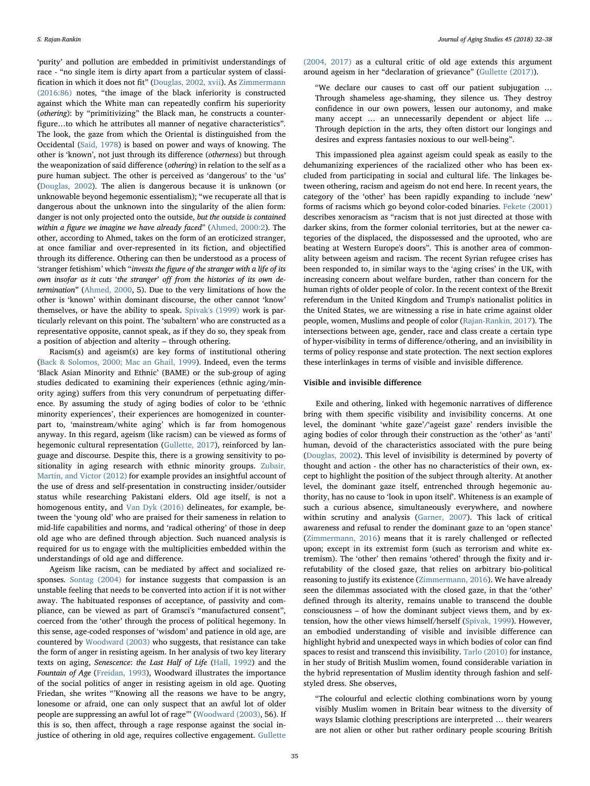'purity' and pollution are embedded in primitivist understandings of race - "no single item is dirty apart from a particular system of classification in which it does not fit" [\(Douglas, 2002, xvii](#page-6-51)). As [Zimmermann](#page-6-12) [\(2016:86\)](#page-6-12) notes, "the image of the black inferiority is constructed against which the White man can repeatedly confirm his superiority (othering): by "primitivizing" the Black man, he constructs a counterfigure…to which he attributes all manner of negative characteristics". The look, the gaze from which the Oriental is distinguished from the Occidental [\(Said, 1978](#page-6-48)) is based on power and ways of knowing. The other is 'known', not just through its difference (otherness) but through the weaponization of said difference (othering) in relation to the self as a pure human subject. The other is perceived as 'dangerous' to the 'us' ([Douglas, 2002\)](#page-6-51). The alien is dangerous because it is unknown (or unknowable beyond hegemonic essentialism); "we recuperate all that is dangerous about the unknown into the singularity of the alien form: danger is not only projected onto the outside, but the outside is contained within a figure we imagine we have already faced" [\(Ahmed, 2000:2\)](#page-5-0). The other, according to Ahmed, takes on the form of an eroticized stranger, at once familiar and over-represented in its fiction, and objectified through its difference. Othering can then be understood as a process of 'stranger fetishism' which "invests the figure of the stranger with a life of its own insofar as it cuts 'the stranger' off from the histories of its own determination" [\(Ahmed,](#page-5-0) 2000, 5). Due to the very limitations of how the other is 'known' within dominant discourse, the other cannot 'know' themselves, or have the ability to speak. [Spivak's \(1999\)](#page-6-38) work is particularly relevant on this point. The 'subaltern' who are constructed as a representative opposite, cannot speak, as if they do so, they speak from a position of abjection and alterity – through othering.

Racism(s) and ageism(s) are key forms of institutional othering ([Back & Solomos, 2000; Mac an Ghail, 1999](#page-6-52)). Indeed, even the terms 'Black Asian Minority and Ethnic' (BAME) or the sub-group of aging studies dedicated to examining their experiences (ethnic aging/minority aging) suffers from this very conundrum of perpetuating difference. By assuming the study of aging bodies of color to be 'ethnic minority experiences', their experiences are homogenized in counterpart to, 'mainstream/white aging' which is far from homogenous anyway. In this regard, ageism (like racism) can be viewed as forms of hegemonic cultural representation ([Gullette, 2017\)](#page-6-53), reinforced by language and discourse. Despite this, there is a growing sensitivity to positionality in aging research with ethnic minority groups. [Zubair,](#page-6-54) [Martin, and Victor \(2012\)](#page-6-54) for example provides an insightful account of the use of dress and self-presentation in constructing insider/outsider status while researching Pakistani elders. Old age itself, is not a homogenous entity, and [Van Dyk \(2016\)](#page-6-11) delineates, for example, between the 'young old' who are praised for their sameness in relation to mid-life capabilities and norms, and 'radical othering' of those in deep old age who are defined through abjection. Such nuanced analysis is required for us to engage with the multiplicities embedded within the understandings of old age and difference.

Ageism like racism, can be mediated by affect and socialized responses. [Sontag \(2004\)](#page-6-55) for instance suggests that compassion is an unstable feeling that needs to be converted into action if it is not wither away. The habituated responses of acceptance, of passivity and compliance, can be viewed as part of Gramsci's "manufactured consent", coerced from the 'other' through the process of political hegemony. In this sense, age-coded responses of 'wisdom' and patience in old age, are countered by [Woodward \(2003\)](#page-6-56) who suggests, that resistance can take the form of anger in resisting ageism. In her analysis of two key literary texts on aging, Senescence: the Last Half of Life ([Hall, 1992](#page-6-57)) and the Fountain of Age ([Freidan, 1993\)](#page-6-58), Woodward illustrates the importance of the social politics of anger in resisting ageism in old age. Quoting Friedan, she writes "'Knowing all the reasons we have to be angry, lonesome or afraid, one can only suspect that an awful lot of older people are suppressing an awful lot of rage'" [\(Woodward \(2003\),](#page-6-56) 56). If this is so, then affect, through a rage response against the social injustice of othering in old age, requires collective engagement. [Gullette](#page-6-26)

[\(2004, 2017\)](#page-6-26) as a cultural critic of old age extends this argument around ageism in her "declaration of grievance" [\(Gullette \(2017\)\)](#page-6-53).

"We declare our causes to cast off our patient subjugation … Through shameless age-shaming, they silence us. They destroy confidence in our own powers, lessen our autonomy, and make many accept … an unnecessarily dependent or abject life … Through depiction in the arts, they often distort our longings and desires and express fantasies noxious to our well-being".

This impassioned plea against ageism could speak as easily to the dehumanizing experiences of the racialized other who has been excluded from participating in social and cultural life. The linkages between othering, racism and ageism do not end here. In recent years, the category of the 'other' has been rapidly expanding to include 'new' forms of racisms which go beyond color-coded binaries. [Fekete \(2001\)](#page-6-59) describes xenoracism as "racism that is not just directed at those with darker skins, from the former colonial territories, but at the newer categories of the displaced, the dispossessed and the uprooted, who are beating at Western Europe's doors". This is another area of commonality between ageism and racism. The recent Syrian refugee crises has been responded to, in similar ways to the 'aging crises' in the UK, with increasing concern about welfare burden, rather than concern for the human rights of older people of color. In the recent context of the Brexit referendum in the United Kingdom and Trump's nationalist politics in the United States, we are witnessing a rise in hate crime against older people, women, Muslims and people of color [\(Rajan-Rankin, 2017](#page-6-60)). The intersections between age, gender, race and class create a certain type of hyper-visibility in terms of difference/othering, and an invisibility in terms of policy response and state protection. The next section explores these interlinkages in terms of visible and invisible difference.

#### Visible and invisible difference

Exile and othering, linked with hegemonic narratives of difference bring with them specific visibility and invisibility concerns. At one level, the dominant 'white gaze'/'ageist gaze' renders invisible the aging bodies of color through their construction as the 'other' as 'anti' human, devoid of the characteristics associated with the pure being ([Douglas, 2002\)](#page-6-51). This level of invisibility is determined by poverty of thought and action - the other has no characteristics of their own, except to highlight the position of the subject through alterity. At another level, the dominant gaze itself, entrenched through hegemonic authority, has no cause to 'look in upon itself'. Whiteness is an example of such a curious absence, simultaneously everywhere, and nowhere within scrutiny and analysis [\(Garner, 2007\)](#page-6-61). This lack of critical awareness and refusal to render the dominant gaze to an 'open stance' ([Zimmermann, 2016\)](#page-6-12) means that it is rarely challenged or reflected upon; except in its extremist form (such as terrorism and white extremism). The 'other' then remains 'othered' through the fixity and irrefutability of the closed gaze, that relies on arbitrary bio-political reasoning to justify its existence ([Zimmermann, 2016](#page-6-12)). We have already seen the dilemmas associated with the closed gaze, in that the 'other' defined through its alterity, remains unable to transcend the double consciousness – of how the dominant subject views them, and by extension, how the other views himself/herself [\(Spivak, 1999](#page-6-38)). However, an embodied understanding of visible and invisible difference can highlight hybrid and unexpected ways in which bodies of color can find spaces to resist and transcend this invisibility. [Tarlo \(2010\)](#page-6-62) for instance, in her study of British Muslim women, found considerable variation in the hybrid representation of Muslim identity through fashion and selfstyled dress. She observes,

"The colourful and eclectic clothing combinations worn by young visibly Muslim women in Britain bear witness to the diversity of ways Islamic clothing prescriptions are interpreted … their wearers are not alien or other but rather ordinary people scouring British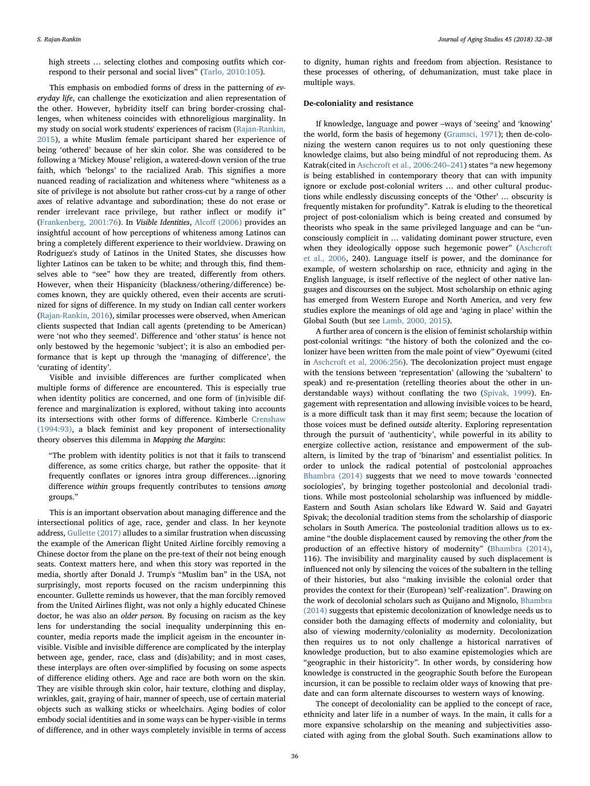high streets … selecting clothes and composing outfits which correspond to their personal and social lives" [\(Tarlo, 2010:105\)](#page-6-62).

This emphasis on embodied forms of dress in the patterning of everyday life, can challenge the exoticization and alien representation of the other. However, hybridity itself can bring border-crossing challenges, when whiteness coincides with ethnoreligious marginality. In my study on social work students' experiences of racism ([Rajan-Rankin,](#page-6-63) [2015\)](#page-6-63), a white Muslim female participant shared her experience of being 'othered' because of her skin color. She was considered to be following a 'Mickey Mouse' religion, a watered-down version of the true faith, which 'belongs' to the racialized Arab. This signifies a more nuanced reading of racialization and whiteness where "whiteness as a site of privilege is not absolute but rather cross-cut by a range of other axes of relative advantage and subordination; these do not erase or render irrelevant race privilege, but rather inflect or modify it" ([Frankenberg, 2001:76](#page-6-64)). In Visible Identities, Alcoff [\(2006\)](#page-6-65) provides an insightful account of how perceptions of whiteness among Latinos can bring a completely different experience to their worldview. Drawing on Rodriguez's study of Latinos in the United States, she discusses how lighter Latinos can be taken to be white; and through this, find themselves able to "see" how they are treated, differently from others. However, when their Hispanicity (blackness/othering/difference) becomes known, they are quickly othered, even their accents are scrutinized for signs of difference. In my study on Indian call center workers ([Rajan-Rankin, 2016](#page-6-66)), similar processes were observed, when American clients suspected that Indian call agents (pretending to be American) were 'not who they seemed'. Difference and 'other status' is hence not only bestowed by the hegemonic 'subject'; it is also an embodied performance that is kept up through the 'managing of difference', the 'curating of identity'.

Visible and invisible differences are further complicated when multiple forms of difference are encountered. This is especially true when identity politics are concerned, and one form of (in)visible difference and marginalization is explored, without taking into accounts its intersections with other forms of difference. Kimberle [Crenshaw](#page-6-67) [\(1994:93\),](#page-6-67) a black feminist and key proponent of intersectionality theory observes this dilemma in Mapping the Margins:

"The problem with identity politics is not that it fails to transcend difference, as some critics charge, but rather the opposite- that it frequently conflates or ignores intra group differences…ignoring difference within groups frequently contributes to tensions among groups."

This is an important observation about managing difference and the intersectional politics of age, race, gender and class. In her keynote address, [Gullette \(2017\)](#page-6-53) alludes to a similar frustration when discussing the example of the American flight United Airline forcibly removing a Chinese doctor from the plane on the pre-text of their not being enough seats. Context matters here, and when this story was reported in the media, shortly after Donald J. Trump's "Muslim ban" in the USA, not surprisingly, most reports focused on the racism underpinning this encounter. Gullette reminds us however, that the man forcibly removed from the United Airlines flight, was not only a highly educated Chinese doctor, he was also an older person. By focusing on racism as the key lens for understanding the social inequality underpinning this encounter, media reports made the implicit ageism in the encounter invisible. Visible and invisible difference are complicated by the interplay between age, gender, race, class and (dis)ability; and in most cases, these interplays are often over-simplified by focusing on some aspects of difference eliding others. Age and race are both worn on the skin. They are visible through skin color, hair texture, clothing and display, wrinkles, gait, graying of hair, manner of speech, use of certain material objects such as walking sticks or wheelchairs. Aging bodies of color embody social identities and in some ways can be hyper-visible in terms of difference, and in other ways completely invisible in terms of access

to dignity, human rights and freedom from abjection. Resistance to these processes of othering, of dehumanization, must take place in multiple ways.

#### De-coloniality and resistance

If knowledge, language and power –ways of 'seeing' and 'knowing' the world, form the basis of hegemony [\(Gramsci,](#page-6-50) 1971); then de-colonizing the western canon requires us to not only questioning these knowledge claims, but also being mindful of not reproducing them. As Katrak(cited in [Aschcroft et al., 2006:240](#page-6-39)–241) states "a new hegemony is being established in contemporary theory that can with impunity ignore or exclude post-colonial writers … and other cultural productions while endlessly discussing concepts of the 'Other' … obscurity is frequently mistaken for profundity". Katrak is eluding to the theoretical project of post-colonialism which is being created and consumed by theorists who speak in the same privileged language and can be "unconsciously complicit in … validating dominant power structure, even when they ideologically oppose such hegemonic power" [\(Aschcroft](#page-6-39) [et al., 2006,](#page-6-39) 240). Language itself is power, and the dominance for example, of western scholarship on race, ethnicity and aging in the English language, is itself reflective of the neglect of other native languages and discourses on the subject. Most scholarship on ethnic aging has emerged from Western Europe and North America, and very few studies explore the meanings of old age and 'aging in place' within the Global South (but see [Lamb, 2000, 2015](#page-6-68)).

A further area of concern is the elision of feminist scholarship within post-colonial writings: "the history of both the colonized and the colonizer have been written from the male point of view" Oyewumi (cited in [Aschcroft et al, 2006:256\)](#page-6-39). The decolonization project must engage with the tensions between 'representation' (allowing the 'subaltern' to speak) and re-presentation (retelling theories about the other in understandable ways) without conflating the two [\(Spivak, 1999](#page-6-38)). Engagement with representation and allowing invisible voices to be heard, is a more difficult task than it may first seem; because the location of those voices must be defined outside alterity. Exploring representation through the pursuit of 'authenticity', while powerful in its ability to energize collective action, resistance and empowerment of the subaltern, is limited by the trap of 'binarism' and essentialist politics. In order to unlock the radical potential of postcolonial approaches [Bhambra \(2014\)](#page-6-69) suggests that we need to move towards 'connected sociologies', by bringing together postcolonial and decolonial traditions. While most postcolonial scholarship was influenced by middle-Eastern and South Asian scholars like Edward W. Said and Gayatri Spivak; the decolonial tradition stems from the scholarship of diasporic scholars in South America. The postcolonial tradition allows us to examine "the double displacement caused by removing the other from the production of an effective history of modernity" [\(Bhambra \(2014\)](#page-6-69), 116). The invisibility and marginality caused by such displacement is influenced not only by silencing the voices of the subaltern in the telling of their histories, but also "making invisible the colonial order that provides the context for their (European) 'self'-realization". Drawing on the work of decolonial scholars such as Quijano and Mignolo, [Bhambra](#page-6-69) [\(2014\)](#page-6-69) suggests that epistemic decolonization of knowledge needs us to consider both the damaging effects of modernity and coloniality, but also of viewing modernity/coloniality as modernity. Decolonization then requires us to not only challenge a historical narratives of knowledge production, but to also examine epistemologies which are "geographic in their historicity". In other words, by considering how knowledge is constructed in the geographic South before the European incursion, it can be possible to reclaim older ways of knowing that predate and can form alternate discourses to western ways of knowing.

The concept of decoloniality can be applied to the concept of race, ethnicity and later life in a number of ways. In the main, it calls for a more expansive scholarship on the meaning and subjectivities associated with aging from the global South. Such examinations allow to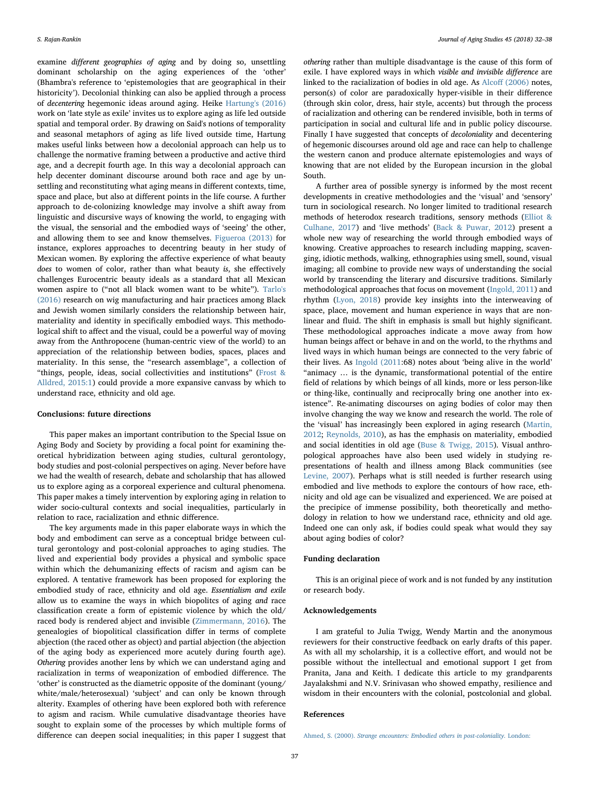examine different geographies of aging and by doing so, unsettling dominant scholarship on the aging experiences of the 'other' (Bhambra's reference to 'epistemologies that are geographical in their historicity'). Decolonial thinking can also be applied through a process of decentering hegemonic ideas around aging. Heike [Hartung's \(2016\)](#page-6-35) work on 'late style as exile' invites us to explore aging as life led outside spatial and temporal order. By drawing on Said's notions of temporality and seasonal metaphors of aging as life lived outside time, Hartung makes useful links between how a decolonial approach can help us to challenge the normative framing between a productive and active third age, and a decrepit fourth age. In this way a decolonial approach can help decenter dominant discourse around both race and age by unsettling and reconstituting what aging means in different contexts, time, space and place, but also at different points in the life course. A further approach to de-colonizing knowledge may involve a shift away from linguistic and discursive ways of knowing the world, to engaging with the visual, the sensorial and the embodied ways of 'seeing' the other, and allowing them to see and know themselves. [Figueroa \(2013\)](#page-6-70) for instance, explores approaches to decentring beauty in her study of Mexican women. By exploring the affective experience of what beauty does to women of color, rather than what beauty is, she effectively challenges Eurocentric beauty ideals as a standard that all Mexican women aspire to ("not all black women want to be white"). [Tarlo's](#page-6-71) [\(2016\)](#page-6-71) research on wig manufacturing and hair practices among Black and Jewish women similarly considers the relationship between hair, materiality and identity in specifically embodied ways. This methodological shift to affect and the visual, could be a powerful way of moving away from the Anthropocene (human-centric view of the world) to an appreciation of the relationship between bodies, spaces, places and materiality. In this sense, the "research assemblage", a collection of "things, people, ideas, social collectivities and institutions" ([Frost &](#page-6-72) [Alldred, 2015:1](#page-6-72)) could provide a more expansive canvass by which to understand race, ethnicity and old age.

#### Conclusions: future directions

This paper makes an important contribution to the Special Issue on Aging Body and Society by providing a focal point for examining theoretical hybridization between aging studies, cultural gerontology, body studies and post-colonial perspectives on aging. Never before have we had the wealth of research, debate and scholarship that has allowed us to explore aging as a corporeal experience and cultural phenomena. This paper makes a timely intervention by exploring aging in relation to wider socio-cultural contexts and social inequalities, particularly in relation to race, racialization and ethnic difference.

The key arguments made in this paper elaborate ways in which the body and embodiment can serve as a conceptual bridge between cultural gerontology and post-colonial approaches to aging studies. The lived and experiential body provides a physical and symbolic space within which the dehumanizing effects of racism and agism can be explored. A tentative framework has been proposed for exploring the embodied study of race, ethnicity and old age. Essentialism and exile allow us to examine the ways in which biopolitcs of aging and race classification create a form of epistemic violence by which the old/ raced body is rendered abject and invisible [\(Zimmermann, 2016\)](#page-6-12). The genealogies of biopolitical classification differ in terms of complete abjection (the raced other as object) and partial abjection (the abjection of the aging body as experienced more acutely during fourth age). Othering provides another lens by which we can understand aging and racialization in terms of weaponization of embodied difference. The 'other' is constructed as the diametric opposite of the dominant (young/ white/male/heterosexual) 'subject' and can only be known through alterity. Examples of othering have been explored both with reference to agism and racism. While cumulative disadvantage theories have sought to explain some of the processes by which multiple forms of difference can deepen social inequalities; in this paper I suggest that othering rather than multiple disadvantage is the cause of this form of exile. I have explored ways in which visible and invisible difference are linked to the racialization of bodies in old age. As Alcoff [\(2006\)](#page-6-65) notes, person(s) of color are paradoxically hyper-visible in their difference (through skin color, dress, hair style, accents) but through the process of racialization and othering can be rendered invisible, both in terms of participation in social and cultural life and in public policy discourse. Finally I have suggested that concepts of decoloniality and decentering of hegemonic discourses around old age and race can help to challenge the western canon and produce alternate epistemologies and ways of knowing that are not elided by the European incursion in the global South.

A further area of possible synergy is informed by the most recent developments in creative methodologies and the 'visual' and 'sensory' turn in sociological research. No longer limited to traditional research methods of heterodox research traditions, sensory methods ([Elliot &](#page-6-73) [Culhane, 2017\)](#page-6-73) and 'live methods' ([Back & Puwar, 2012](#page-6-74)) present a whole new way of researching the world through embodied ways of knowing. Creative approaches to research including mapping, scavenging, idiotic methods, walking, ethnographies using smell, sound, visual imaging; all combine to provide new ways of understanding the social world by transcending the literary and discursive traditions. Similarly methodological approaches that focus on movement ([Ingold, 2011\)](#page-6-75) and rhythm ([Lyon, 2018](#page-6-76)) provide key insights into the interweaving of space, place, movement and human experience in ways that are nonlinear and fluid. The shift in emphasis is small but highly significant. These methodological approaches indicate a move away from how human beings affect or behave in and on the world, to the rhythms and lived ways in which human beings are connected to the very fabric of their lives. As [Ingold \(2011](#page-6-75):68) notes about 'being alive in the world' "animacy … is the dynamic, transformational potential of the entire field of relations by which beings of all kinds, more or less person-like or thing-like, continually and reciprocally bring one another into existence". Re-animating discourses on aging bodies of color may then involve changing the way we know and research the world. The role of the 'visual' has increasingly been explored in aging research ([Martin,](#page-6-77) [2012;](#page-6-77) [Reynolds, 2010\)](#page-6-78), as has the emphasis on materiality, embodied and social identities in old age ([Buse & Twigg, 2015](#page-6-47)). Visual anthropological approaches have also been used widely in studying representations of health and illness among Black communities (see [Levine, 2007](#page-6-79)). Perhaps what is still needed is further research using embodied and live methods to explore the contours of how race, ethnicity and old age can be visualized and experienced. We are poised at the precipice of immense possibility, both theoretically and methodology in relation to how we understand race, ethnicity and old age. Indeed one can only ask, if bodies could speak what would they say about aging bodies of color?

#### Funding declaration

This is an original piece of work and is not funded by any institution or research body.

#### Acknowledgements

I am grateful to Julia Twigg, Wendy Martin and the anonymous reviewers for their constructive feedback on early drafts of this paper. As with all my scholarship, it is a collective effort, and would not be possible without the intellectual and emotional support I get from Pranita, Jana and Keith. I dedicate this article to my grandparents Jayalakshmi and N.V. Srinivasan who showed empathy, resilience and wisdom in their encounters with the colonial, postcolonial and global.

#### References

<span id="page-5-0"></span>Ahmed, S. (2000). [Strange encounters: Embodied others in post-coloniality.](http://refhub.elsevier.com/S0890-4065(18)30015-X/rf0005) London: